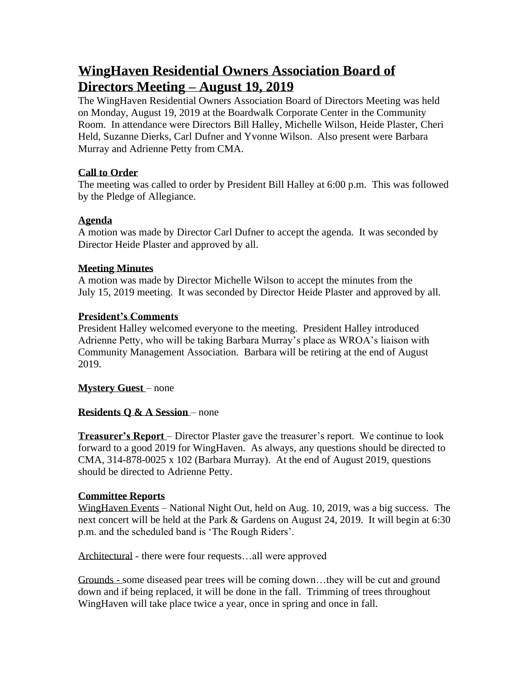# **WingHaven Residential Owners Association Board of Directors Meeting – August 19, 2019**

The WingHaven Residential Owners Association Board of Directors Meeting was held on Monday, August 19, 2019 at the Boardwalk Corporate Center in the Community Room. In attendance were Directors Bill Halley, Michelle Wilson, Heide Plaster, Cheri Held, Suzanne Dierks, Carl Dufner and Yvonne Wilson. Also present were Barbara Murray and Adrienne Petty from CMA.

# **Call to Order**

The meeting was called to order by President Bill Halley at 6:00 p.m. This was followed by the Pledge of Allegiance.

# **Agenda**

A motion was made by Director Carl Dufner to accept the agenda. It was seconded by Director Heide Plaster and approved by all.

# **Meeting Minutes**

A motion was made by Director Michelle Wilson to accept the minutes from the July 15, 2019 meeting. It was seconded by Director Heide Plaster and approved by all.

# **President's Comments**

President Halley welcomed everyone to the meeting. President Halley introduced Adrienne Petty, who will be taking Barbara Murray's place as WROA's liaison with Community Management Association. Barbara will be retiring at the end of August 2019.

**Mystery Guest** – none

# **Residents Q & A Session** – none

**Treasurer's Report** – Director Plaster gave the treasurer's report. We continue to look forward to a good 2019 for WingHaven. As always, any questions should be directed to CMA,  $314-878-0025 \times 102$  (Barbara Murray). At the end of August 2019, questions should be directed to Adrienne Petty.

## **Committee Reports**

WingHaven Events – National Night Out, held on Aug. 10, 2019, was a big success. The next concert will be held at the Park & Gardens on August 24, 2019. It will begin at 6:30 p.m. and the scheduled band is 'The Rough Riders'.

Architectural - there were four requests…all were approved

Grounds - some diseased pear trees will be coming down…they will be cut and ground down and if being replaced, it will be done in the fall. Trimming of trees throughout WingHaven will take place twice a year, once in spring and once in fall.